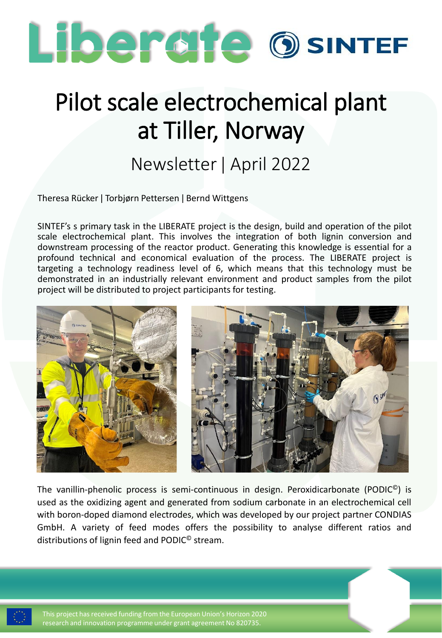

## Pilot scale electrochemical plant at Tiller, Norway

## Newsletter ǀ April 2022

Theresa Rücker ǀ Torbjørn Pettersen ǀ Bernd Wittgens

SINTEF's s primary task in the LIBERATE project is the design, build and operation of the pilot scale electrochemical plant. This involves the integration of both lignin conversion and downstream processing of the reactor product. Generating this knowledge is essential for a profound technical and economical evaluation of the process. The LIBERATE project is targeting a technology readiness level of 6, which means that this technology must be demonstrated in an industrially relevant environment and product samples from the pilot project will be distributed to project participants for testing.



The vanillin-phenolic process is semi-continuous in design. Peroxidicarbonate (PODIC<sup>®</sup>) is used as the oxidizing agent and generated from sodium carbonate in an electrochemical cell with boron-doped diamond electrodes, which was developed by our project partner CONDIAS GmbH. A variety of feed modes offers the possibility to analyse different ratios and distributions of lignin feed and PODIC© stream.